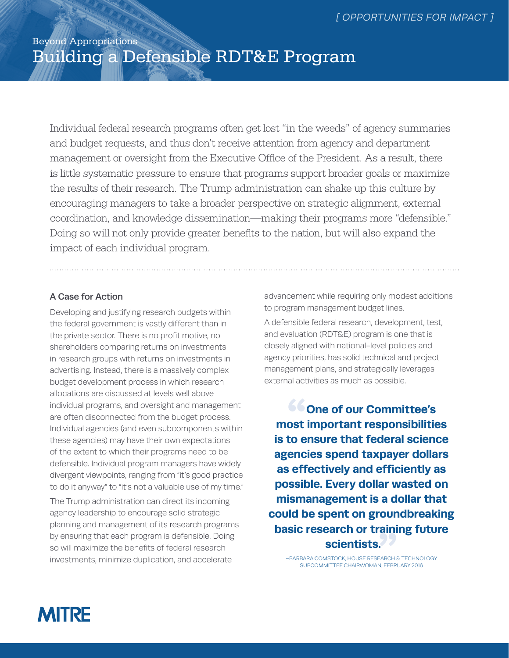# Beyond Appropriations Building a Defensible RDT&E Program

Individual federal research programs often get lost "in the weeds" of agency summaries and budget requests, and thus don't receive attention from agency and department management or oversight from the Executive Office of the President. As a result, there is little systematic pressure to ensure that programs support broader goals or maximize the results of their research. The Trump administration can shake up this culture by encouraging managers to take a broader perspective on strategic alignment, external coordination, and knowledge dissemination—making their programs more "defensible." Doing so will not only provide greater benefits to the nation, but will also expand the impact of each individual program.

### A Case for Action

Developing and justifying research budgets within the federal government is vastly different than in the private sector. There is no profit motive, no shareholders comparing returns on investments in research groups with returns on investments in advertising. Instead, there is a massively complex budget development process in which research allocations are discussed at levels well above individual programs, and oversight and management are often disconnected from the budget process. Individual agencies (and even subcomponents within these agencies) may have their own expectations of the extent to which their programs need to be defensible. Individual program managers have widely divergent viewpoints, ranging from "it's good practice to do it anyway" to "it's not a valuable use of my time."

The Trump administration can direct its incoming agency leadership to encourage solid strategic planning and management of its research programs by ensuring that each program is defensible. Doing so will maximize the benefits of federal research investments, minimize duplication, and accelerate

advancement while requiring only modest additions to program management budget lines.

A defensible federal research, development, test, and evaluation (RDT&E) program is one that is closely aligned with national-level policies and agency priorities, has solid technical and project management plans, and strategically leverages external activities as much as possible.

**"One of our Committee's most important responsibilities is to ensure that federal science agencies spend taxpayer dollars as effectively and efficiently as possible. Every dollar wasted on mismanagement is a dollar that could be spent on groundbreaking basic research or training future scientists. AND**<br>EARCH 8<br>N, FEBRI

–BARBARA COMSTOCK, HOUSE RESEARCH & TECHNOLOGY SUBCOMMITTEE CHAIRWOMAN, FEBRUARY 2016